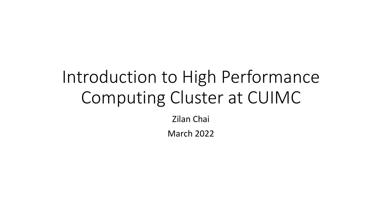# Introduction to High Performance Computing Cluster at CUIMC

Zilan Chai

March 2022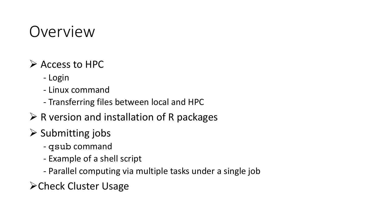## Overview

- Ø Access to HPC
	- Login
	- Linux command
	- Transferring files between local and HPC
- $\triangleright$  R version and installation of R packages
- $\triangleright$  Submitting jobs
	- qsub command
	- Example of a shell script
	- Parallel computing via multiple tasks under a single job
- ØCheck Cluster Usage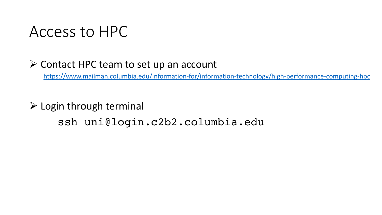#### Access to HPC

#### $\triangleright$  Contact HPC team to set up an account

https://www.mailman.columbia.edu/information-for/information-ter

#### $\triangleright$  Login through terminal ssh uni@login.c2b2.columbia.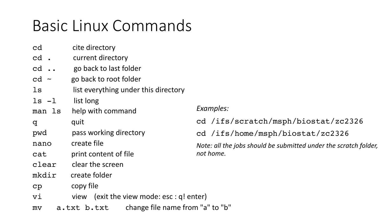# Basic Linux Commands

- cd cite directory
- cd . current directory
- cd .. go back to last folder
- $cd$   $\sim$  go back to root folder
- ls list everything under this directory
- ls -l list long
- man ls help with command
- q quit
- pwd pass working directory
- nano create file
- cat print content of file
- clear clear the screen
- mkdir create folder
- cp copy file
- vi view (exit the view mode: esc : q! enter)
- mv a.txt b.txt change file name from "a" to "b"

*Examples:*

cd /ifs/scratch/msph/biostat/zc2326

cd /ifs/home/msph/biostat/zc2326

*Note: all the jobs should be submitted under the scratch folder, not home.*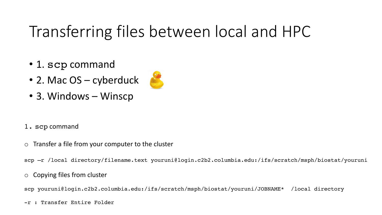# Transferring files between local and HPC

- 1. scp command
- 2. Mac OS cyberduck



- 3. Windows Winscp
- 1. scp command
- $\circ$  Transfer a file from your computer to the cluster

scp -r /local directory/filename.text youruni@login.c2b2.columbia.edu:/ifs/scratch/msph/biostat/youruni

o Copying files from cluster

scp youruni@login.c2b2.columbia.edu:/ifs/scratch/msph/biostat/youruni/JOBNAME\* /local directory

-r : Transfer Entire Folder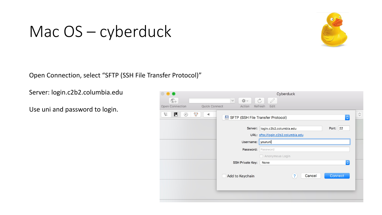### Mac OS – cyberduck



Open Connection, select "SFTP (SSH File Transfer Protocol)"

Server: login.c2b2.columbia.edu

Use uni and password to login.

| $\bigoplus$                                                                                                                                                  | Cyberduck                           |
|--------------------------------------------------------------------------------------------------------------------------------------------------------------|-------------------------------------|
| 0<br>$\mathbb{C}^+$<br>**<br>$\mathcal{C}_{1}$<br>$\checkmark$                                                                                               |                                     |
| Open Connection<br>Quick Connect<br>Action<br>Refresh<br>Edit                                                                                                |                                     |
| 钜<br>$\blacksquare$<br>$\circledcirc$<br>$\hat{\mathbf{v}}$<br>$_{\bigodot}$<br>◀<br>SFTP (SSH File Transfer Protocol)<br>$\hat{\mathcal{L}}$<br>$\triangle$ |                                     |
| Server:                                                                                                                                                      | Port: 22<br>login.c2b2.columbia.edu |
|                                                                                                                                                              | URL: sftp://login.c2b2.columbia.edu |
|                                                                                                                                                              | Username: youruni                   |
| Password:                                                                                                                                                    | Password                            |
|                                                                                                                                                              | Anonymous Login                     |
| <b>SSH Private Key:</b>                                                                                                                                      | $\Diamond$<br>None                  |
| Add to Keychain                                                                                                                                              | $\overline{?}$<br>Connect<br>Cancel |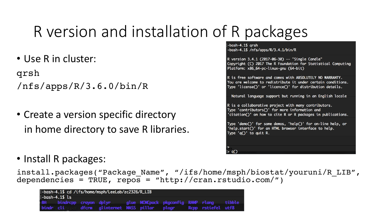# R version and installation of R packages

• Use R in cluster:

qrsh

/nfs/apps/R/3.6.0/bin/R

• Create a version specific directory in home directory to save R libraries.

R is free software and comes with ABSOLUTELY NO WARRANTY. You are welcome to redistribute it under certain conditions. Type 'license()' or 'licence()' for distribution details. Natural language support but running in an English locale R is a collaborative project with many contributors. Type 'contributors()' for more information and 'citation()' on how to cite R or R packages in publications. Type 'demo()' for some demos, 'help()' for on-line help, or 'help.start()' for an HTML browser interface to help. Type  $'q()'$  to quit R.

Copyright (C) 2017 The R Foundation for Statistical Computing

-bash-4.1\$ arsh

 $-bash-4.1$ \$ /nfs/apps/R/3.4.1/bin/R

Platform: x86\_64-pc-linux-gnu (64-bit)

R version 3.4.1 (2017-06-30) -- "Single Candle"

• Install R packages:

install.packages("Package Name", "/ifs/home/msph/biostat/youruni/R LIB", dependencies = TRUE, repos = "http://cran.rstudio.com/")

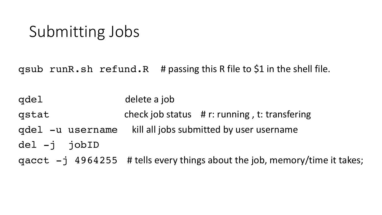## Submitting Jobs

qsub runR.sh refund.R # passing this R file to \$1 in the shell file.

qdel delete a job qstat check job status # r: running , t: transfering qdel -u username kill all jobs submitted by user username del -j jobID qacct  $-j$  4964255 # tells every things about the job, memory/time it takes;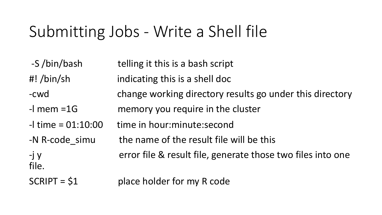# Submitting Jobs - Write a Shell file

- -S /bin/bash telling it this is a bash script
- #! /bin/sh indicating this is a shell doc
- -cwd change working directory results go under this directory
- -l mem =1G memory you require in the cluster
- $-l$  time =  $01:10:00$  time in hour:minute:second
- -N R-code simu the name of the result file will be this
- -j y error file & result file, generate those two files into one
- $SCRIPT = $1$  place holder for my R code

file.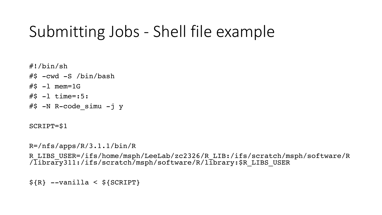## Submitting Jobs - Shell file example

#!/bin/sh #\$ -cwd -S /bin/bash  $#S -1$  mem=1G  $#S -1$  time=:5:  $#$ \$ -N R-code simu -j y

SCRIPT=\$1

R=/nfs/apps/R/3.1.1/bin/R

R\_LIBS\_USER=/ifs/home/msph/LeeLab/zc2326/R\_LIB:/ifs/scratch/msph/software/R /Iibrary311:/ifs/scratch/msph/software/R/library:\$R LIBS USER

 $$R}$  --vanilla <  $${SCRIPT}$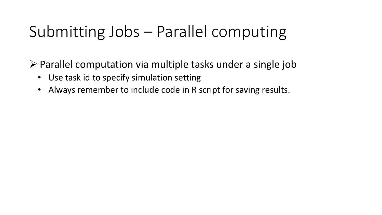# Submitting Jobs – Parallel computing

 $\triangleright$  Parallel computation via multiple tasks under a single job

- Use task id to specify simulation setting
- Always remember to include code in R script for saving results.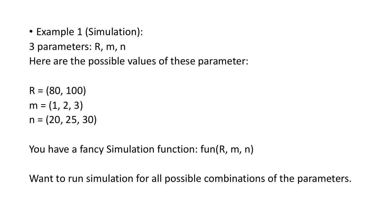- Example 1 (Simulation):
- 3 parameters: R, m, n

Here are the possible values of these parameter:

 $R = (80, 100)$  $m = (1, 2, 3)$  $n = (20, 25, 30)$ 

You have a fancy Simulation function: fun(R, m, n)

Want to run simulation for all possible combinations of the parameters.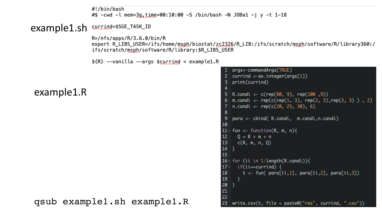#!/bin/bash #\$ -cwd -l mem=3g, time=00:10:00 -S /bin/bash -N JOBa1 -j y -t 1-18

#### example1.sh surrind=\$SGE\_TASK\_ID

 $R = /nfs/apps/R/3.6.0/bin/R$ export R\_LIBS\_USER=/ifs/home/msph/biostat/zc2326/R\_LIB:/ifs/scratch/msph/software/R/library360:/ ifs/scratch/msph/software/R/library:\$R\_LIBS\_USER

 $$R$  --vanilla --args \$currind < example1.R

example1.R

```
qsub example1.sh example1.R
```

```
|args<-commandArgs(TRUE)
 2 currind <-as.integer(args[1])
    print(currind)
 3
 \overline{4}5 R.candi <- c(rep(80, 9), rep(100, 9))
 6 m.candi <- rep(c(rep(1, 3), rep(2, 3), rep(3, 3) ) , 2)
    n.candi \leftarrow rep(c(20, 25, 30), 6)8
    para <- cbind( R.candi, m.candi,n.candi)
 9
10
11 \cdot fun <- function(R, m, n){
      Q = R + m + n1213c(R, m, n, Q)
14}
15
16 \cdot for (ii in 1:length(R.candi)){
     if(ii==currind) {
17 -18
        t <- fun( para[ii,1], para[ii,2], para[ii,3])
19
20
    |}
21
22
-23
   \mathsf{write.csv(t, file = paste0("res", currind, ".csv"))
```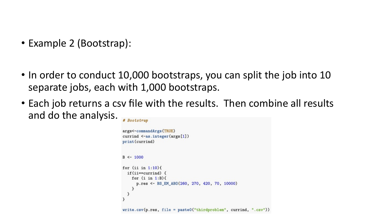- Example 2 (Bootstrap):
- In order to conduct 10,000 bootstraps, you can split the job into 10 separate jobs, each with 1,000 bootstraps.
- Each job returns a csv file with the results. Then combine all results and do the analysis. # Bootstrap

```
args<-commandArgs(TRUE)
currind <- as.integer(args[1])
print(currind)
B < -1000for (ii in 1:10) {
  if(i == currind) {
    for (i \in \{1: B\}p.res <- BS_EM_ABO(260, 270, 420, 70, 10000)
write.csv(p.res, file = paste0("thirdproblem", currind, ".csv"))
```